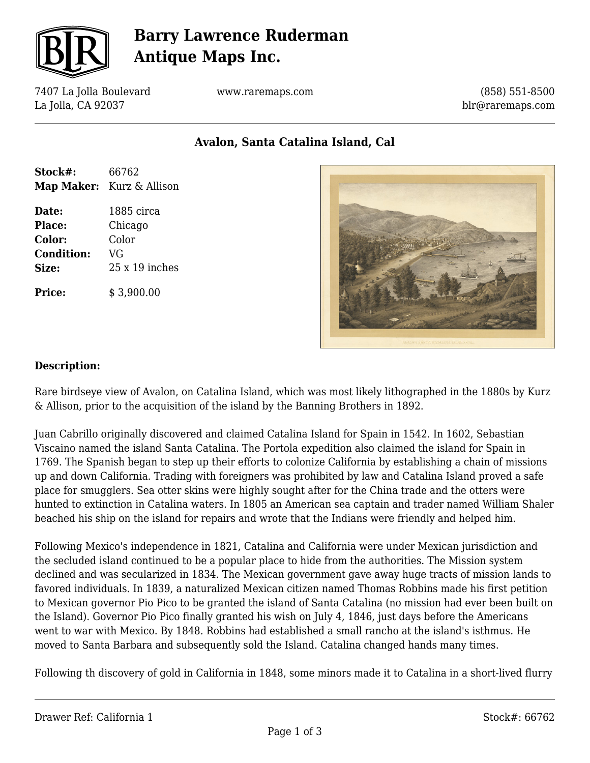

# **Barry Lawrence Ruderman Antique Maps Inc.**

7407 La Jolla Boulevard La Jolla, CA 92037

www.raremaps.com

(858) 551-8500 blr@raremaps.com

**Avalon, Santa Catalina Island, Cal**

| Stock#:           | 66762                            |
|-------------------|----------------------------------|
|                   | <b>Map Maker:</b> Kurz & Allison |
|                   |                                  |
| Date:             | 1885 circa                       |
| <b>Place:</b>     | Chicago                          |
| Color:            | Color                            |
| <b>Condition:</b> | VG                               |

**Size:** 25 x 19 inches

**Price:** \$ 3,900.00



#### **Description:**

Rare birdseye view of Avalon, on Catalina Island, which was most likely lithographed in the 1880s by Kurz & Allison, prior to the acquisition of the island by the Banning Brothers in 1892.

Juan Cabrillo originally discovered and claimed Catalina Island for Spain in 1542. In 1602, Sebastian Viscaino named the island Santa Catalina. The Portola expedition also claimed the island for Spain in 1769. The Spanish began to step up their efforts to colonize California by establishing a chain of missions up and down California. Trading with foreigners was prohibited by law and Catalina Island proved a safe place for smugglers. Sea otter skins were highly sought after for the China trade and the otters were hunted to extinction in Catalina waters. In 1805 an American sea captain and trader named William Shaler beached his ship on the island for repairs and wrote that the Indians were friendly and helped him.

Following Mexico's independence in 1821, Catalina and California were under Mexican jurisdiction and the secluded island continued to be a popular place to hide from the authorities. The Mission system declined and was secularized in 1834. The Mexican government gave away huge tracts of mission lands to favored individuals. In 1839, a naturalized Mexican citizen named Thomas Robbins made his first petition to Mexican governor Pio Pico to be granted the island of Santa Catalina (no mission had ever been built on the Island). Governor Pio Pico finally granted his wish on July 4, 1846, just days before the Americans went to war with Mexico. By 1848. Robbins had established a small rancho at the island's isthmus. He moved to Santa Barbara and subsequently sold the Island. Catalina changed hands many times.

Following th discovery of gold in California in 1848, some minors made it to Catalina in a short-lived flurry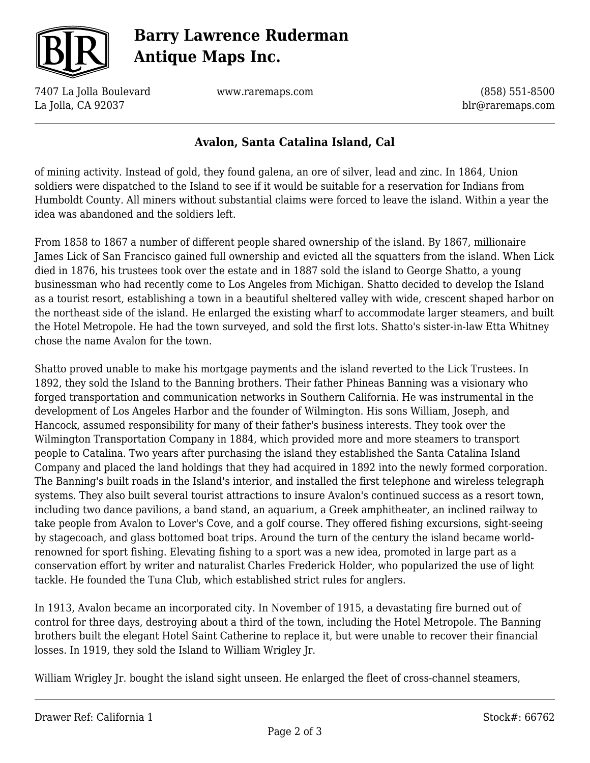

# **Barry Lawrence Ruderman Antique Maps Inc.**

7407 La Jolla Boulevard La Jolla, CA 92037

www.raremaps.com

(858) 551-8500 blr@raremaps.com

### **Avalon, Santa Catalina Island, Cal**

of mining activity. Instead of gold, they found galena, an ore of silver, lead and zinc. In 1864, Union soldiers were dispatched to the Island to see if it would be suitable for a reservation for Indians from Humboldt County. All miners without substantial claims were forced to leave the island. Within a year the idea was abandoned and the soldiers left.

From 1858 to 1867 a number of different people shared ownership of the island. By 1867, millionaire James Lick of San Francisco gained full ownership and evicted all the squatters from the island. When Lick died in 1876, his trustees took over the estate and in 1887 sold the island to George Shatto, a young businessman who had recently come to Los Angeles from Michigan. Shatto decided to develop the Island as a tourist resort, establishing a town in a beautiful sheltered valley with wide, crescent shaped harbor on the northeast side of the island. He enlarged the existing wharf to accommodate larger steamers, and built the Hotel Metropole. He had the town surveyed, and sold the first lots. Shatto's sister-in-law Etta Whitney chose the name Avalon for the town.

Shatto proved unable to make his mortgage payments and the island reverted to the Lick Trustees. In 1892, they sold the Island to the Banning brothers. Their father Phineas Banning was a visionary who forged transportation and communication networks in Southern California. He was instrumental in the development of Los Angeles Harbor and the founder of Wilmington. His sons William, Joseph, and Hancock, assumed responsibility for many of their father's business interests. They took over the Wilmington Transportation Company in 1884, which provided more and more steamers to transport people to Catalina. Two years after purchasing the island they established the Santa Catalina Island Company and placed the land holdings that they had acquired in 1892 into the newly formed corporation. The Banning's built roads in the Island's interior, and installed the first telephone and wireless telegraph systems. They also built several tourist attractions to insure Avalon's continued success as a resort town, including two dance pavilions, a band stand, an aquarium, a Greek amphitheater, an inclined railway to take people from Avalon to Lover's Cove, and a golf course. They offered fishing excursions, sight-seeing by stagecoach, and glass bottomed boat trips. Around the turn of the century the island became worldrenowned for sport fishing. Elevating fishing to a sport was a new idea, promoted in large part as a conservation effort by writer and naturalist Charles Frederick Holder, who popularized the use of light tackle. He founded the Tuna Club, which established strict rules for anglers.

In 1913, Avalon became an incorporated city. In November of 1915, a devastating fire burned out of control for three days, destroying about a third of the town, including the Hotel Metropole. The Banning brothers built the elegant Hotel Saint Catherine to replace it, but were unable to recover their financial losses. In 1919, they sold the Island to William Wrigley Jr.

William Wrigley Jr. bought the island sight unseen. He enlarged the fleet of cross-channel steamers,